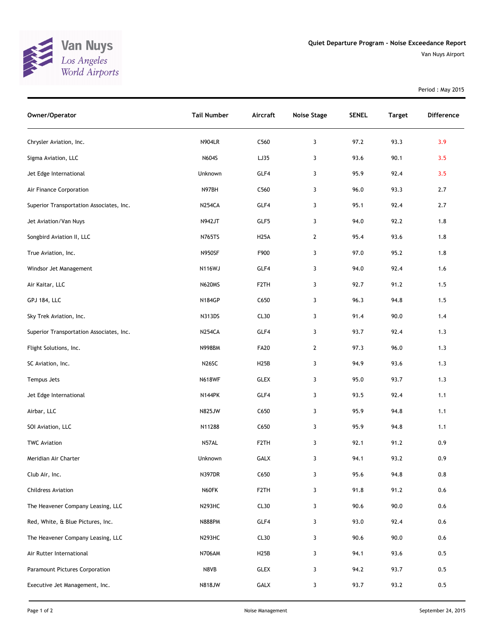

Van Nuys Airport

| Owner/Operator                           | <b>Tail Number</b> | Aircraft          | <b>Noise Stage</b> | <b>SENEL</b> | <b>Target</b> | Difference |
|------------------------------------------|--------------------|-------------------|--------------------|--------------|---------------|------------|
| Chrysler Aviation, Inc.                  | <b>N904LR</b>      | C560              | 3                  | 97.2         | 93.3          | 3.9        |
| Sigma Aviation, LLC                      | N604S              | LJ35              | 3                  | 93.6         | 90.1          | 3.5        |
| Jet Edge International                   | Unknown            | GLF4              | 3                  | 95.9         | 92.4          | 3.5        |
| Air Finance Corporation                  | N97BH              | C560              | 3                  | 96.0         | 93.3          | 2.7        |
| Superior Transportation Associates, Inc. | <b>N254CA</b>      | GLF4              | 3                  | 95.1         | 92.4          | 2.7        |
| Jet Aviation/Van Nuys                    | N942JT             | GLF5              | 3                  | 94.0         | 92.2          | 1.8        |
| Songbird Aviation II, LLC                | N765TS             | <b>H25A</b>       | $\mathbf{2}$       | 95.4         | 93.6          | 1.8        |
| True Aviation, Inc.                      | <b>N950SF</b>      | F900              | 3                  | 97.0         | 95.2          | 1.8        |
| Windsor Jet Management                   | <b>N116WJ</b>      | GLF4              | 3                  | 94.0         | 92.4          | 1.6        |
| Air Kaitar, LLC                          | <b>N620MS</b>      | F <sub>2</sub> TH | 3                  | 92.7         | 91.2          | 1.5        |
| <b>GPJ 184, LLC</b>                      | N184GP             | C650              | 3                  | 96.3         | 94.8          | 1.5        |
| Sky Trek Aviation, Inc.                  | N313DS             | CL30              | 3                  | 91.4         | 90.0          | 1.4        |
| Superior Transportation Associates, Inc. | <b>N254CA</b>      | GLF4              | 3                  | 93.7         | 92.4          | 1.3        |
| Flight Solutions, Inc.                   | <b>N998BM</b>      | <b>FA20</b>       | $\mathbf{2}$       | 97.3         | 96.0          | 1.3        |
| SC Aviation, Inc.                        | N <sub>26</sub> SC | H <sub>25</sub> B | 3                  | 94.9         | 93.6          | 1.3        |
| Tempus Jets                              | <b>N618WF</b>      | <b>GLEX</b>       | 3                  | 95.0         | 93.7          | 1.3        |
| Jet Edge International                   | <b>N144PK</b>      | GLF4              | 3                  | 93.5         | 92.4          | 1.1        |
| Airbar, LLC                              | <b>N825JW</b>      | C650              | 3                  | 95.9         | 94.8          | 1.1        |
| SOI Aviation, LLC                        | N11288             | C650              | 3                  | 95.9         | 94.8          | 1.1        |
| <b>TWC Aviation</b>                      | N57AL              | F <sub>2</sub> TH | 3                  | 92.1         | 91.2          | 0.9        |
| Meridian Air Charter                     | Unknown            | GALX              | 3                  | 94.1         | 93.2          | 0.9        |
| Club Air, Inc.                           | <b>N397DR</b>      | C650              | 3                  | 95.6         | 94.8          | 0.8        |
| <b>Childress Aviation</b>                | N60FK              | F <sub>2</sub> TH | 3                  | 91.8         | 91.2          | $0.6\,$    |
| The Heavener Company Leasing, LLC        | N293HC             | CL30              | 3                  | 90.6         | 90.0          | 0.6        |
| Red, White, & Blue Pictures, Inc.        | <b>N888PM</b>      | GLF4              | 3                  | 93.0         | 92.4          | 0.6        |
| The Heavener Company Leasing, LLC        | N293HC             | CL30              | 3                  | 90.6         | 90.0          | 0.6        |
| Air Rutter International                 | <b>N706AM</b>      | H <sub>25</sub> B | 3                  | 94.1         | 93.6          | 0.5        |
| Paramount Pictures Corporation           | N8VB               | <b>GLEX</b>       | 3                  | 94.2         | 93.7          | 0.5        |
| Executive Jet Management, Inc.           | N818JW             | GALX              | 3                  | 93.7         | 93.2          | 0.5        |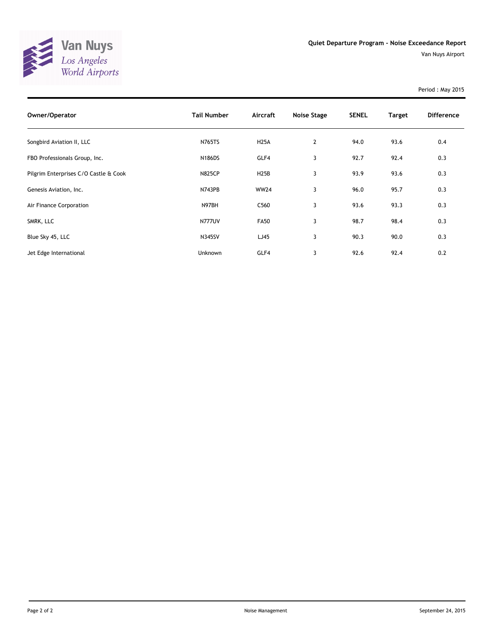

| Owner/Operator                        | <b>Tail Number</b> | Aircraft    | <b>Noise Stage</b> | <b>SENEL</b> | <b>Target</b> | <b>Difference</b> |
|---------------------------------------|--------------------|-------------|--------------------|--------------|---------------|-------------------|
| Songbird Aviation II, LLC             | <b>N765TS</b>      | <b>H25A</b> | $\mathbf{2}$       | 94.0         | 93.6          | 0.4               |
| FBO Professionals Group, Inc.         | <b>N186DS</b>      | GLF4        | 3                  | 92.7         | 92.4          | 0.3               |
| Pilgrim Enterprises C/O Castle & Cook | <b>N825CP</b>      | <b>H25B</b> | 3                  | 93.9         | 93.6          | 0.3               |
| Genesis Aviation, Inc.                | <b>N743PB</b>      | <b>WW24</b> | 3                  | 96.0         | 95.7          | 0.3               |
| Air Finance Corporation               | N97BH              | C560        | 3                  | 93.6         | 93.3          | 0.3               |
| SMRK, LLC                             | <b>N777UV</b>      | <b>FA50</b> | 3                  | 98.7         | 98.4          | 0.3               |
| Blue Sky 45, LLC                      | <b>N345SV</b>      | LJ45        | 3                  | 90.3         | 90.0          | 0.3               |
| Jet Edge International                | Unknown            | GLF4        | 3                  | 92.6         | 92.4          | 0.2               |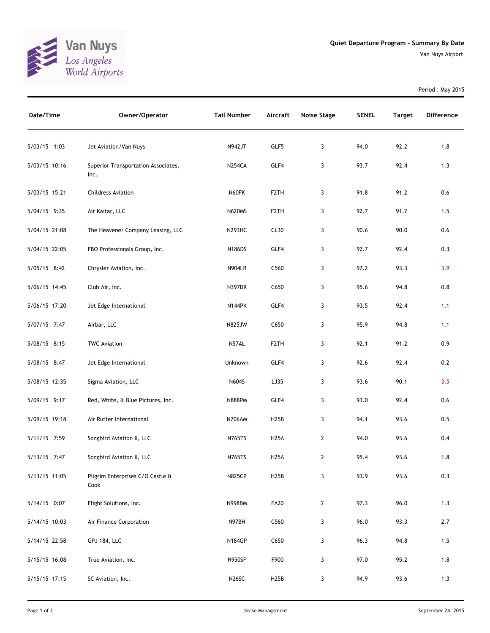

| Date/Time     | Owner/Operator                              | <b>Tail Number</b> | Aircraft          | <b>Noise Stage</b> | <b>SENEL</b> | <b>Target</b> | <b>Difference</b> |
|---------------|---------------------------------------------|--------------------|-------------------|--------------------|--------------|---------------|-------------------|
| 5/03/15 1:03  | Jet Aviation/Van Nuys                       | <b>N942JT</b>      | GLF5              | 3                  | 94.0         | 92.2          | 1.8               |
| 5/03/15 10:16 | Superior Transportation Associates,<br>Inc. | <b>N254CA</b>      | GLF4              | 3                  | 93.7         | 92.4          | 1.3               |
| 5/03/15 15:21 | <b>Childress Aviation</b>                   | N60FK              | F <sub>2</sub> TH | 3                  | 91.8         | 91.2          | 0.6               |
| 5/04/15 9:35  | Air Kaitar, LLC                             | <b>N620MS</b>      | F <sub>2</sub> TH | 3                  | 92.7         | 91.2          | 1.5               |
| 5/04/15 21:08 | The Heavener Company Leasing, LLC           | <b>N293HC</b>      | CL30              | 3                  | 90.6         | 90.0          | 0.6               |
| 5/04/15 22:05 | FBO Professionals Group, Inc.               | N186DS             | GLF4              | 3                  | 92.7         | 92.4          | 0.3               |
| 5/05/15 8:42  | Chrysler Aviation, Inc.                     | <b>N904LR</b>      | C560              | 3                  | 97.2         | 93.3          | 3.9               |
| 5/06/15 14:45 | Club Air, Inc.                              | <b>N397DR</b>      | C650              | 3                  | 95.6         | 94.8          | 0.8               |
| 5/06/15 17:20 | Jet Edge International                      | <b>N144PK</b>      | GLF4              | 3                  | 93.5         | 92.4          | 1.1               |
| 5/07/15 7:47  | Airbar, LLC                                 | <b>N825JW</b>      | C650              | 3                  | 95.9         | 94.8          | 1.1               |
| 5/08/15 8:15  | <b>TWC Aviation</b>                         | N57AL              | F <sub>2</sub> TH | 3                  | 92.1         | 91.2          | 0.9               |
| 5/08/15 8:47  | Jet Edge International                      | Unknown            | GLF4              | 3                  | 92.6         | 92.4          | 0.2               |
| 5/08/15 12:35 | Sigma Aviation, LLC                         | N604S              | LJ35              | 3                  | 93.6         | 90.1          | 3.5               |
| 5/09/15 9:17  | Red, White, & Blue Pictures, Inc.           | <b>N888PM</b>      | GLF4              | 3                  | 93.0         | 92.4          | 0.6               |
| 5/09/15 19:18 | Air Rutter International                    | <b>N706AM</b>      | H <sub>25</sub> B | 3                  | 94.1         | 93.6          | 0.5               |
| 5/11/15 7:59  | Songbird Aviation II, LLC                   | <b>N765TS</b>      | <b>H25A</b>       | $\overline{2}$     | 94.0         | 93.6          | 0.4               |
| 5/13/15 7:47  | Songbird Aviation II, LLC                   | <b>N765TS</b>      | <b>H25A</b>       | $\mathbf{2}$       | 95.4         | 93.6          | 1.8               |
| 5/13/15 11:05 | Pilgrim Enterprises C/O Castle &<br>Cook    | <b>N825CP</b>      | <b>H25B</b>       | 3                  | 93.9         | 93.6          | 0.3               |
| 5/14/15 0:07  | Flight Solutions, Inc.                      | <b>N998BM</b>      | <b>FA20</b>       | $\mathbf{2}$       | 97.3         | 96.0          | 1.3               |
| 5/14/15 10:03 | Air Finance Corporation                     | N97BH              | C560              | 3                  | 96.0         | 93.3          | 2.7               |
| 5/14/15 22:58 | <b>GPJ 184, LLC</b>                         | <b>N184GP</b>      | C650              | 3                  | 96.3         | 94.8          | 1.5               |
| 5/15/15 16:08 | True Aviation, Inc.                         | <b>N950SF</b>      | F900              | 3                  | 97.0         | 95.2          | 1.8               |
| 5/15/15 17:15 | SC Aviation, Inc.                           | N26SC              | <b>H25B</b>       | 3                  | 94.9         | 93.6          | 1.3               |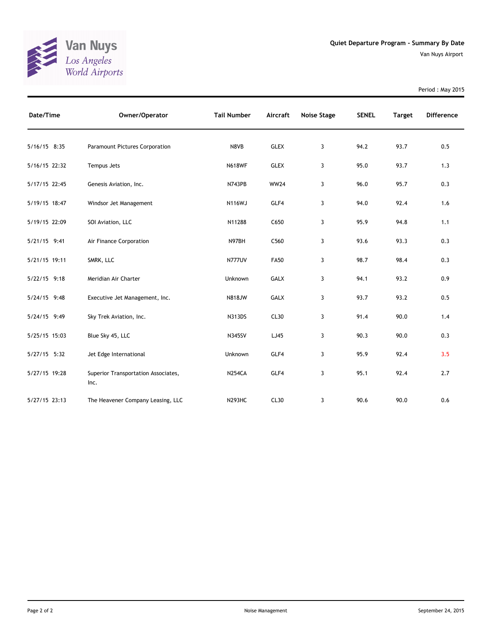

| Date/Time     | Owner/Operator                              | <b>Tail Number</b> | Aircraft    | <b>Noise Stage</b> | <b>SENEL</b> | <b>Target</b> | <b>Difference</b> |
|---------------|---------------------------------------------|--------------------|-------------|--------------------|--------------|---------------|-------------------|
| 5/16/15 8:35  | <b>Paramount Pictures Corporation</b>       | N8VB               | <b>GLEX</b> | 3                  | 94.2         | 93.7          | 0.5               |
| 5/16/15 22:32 | Tempus Jets                                 | <b>N618WF</b>      | <b>GLEX</b> | 3                  | 95.0         | 93.7          | 1.3               |
| 5/17/15 22:45 | Genesis Aviation, Inc.                      | N743PB             | <b>WW24</b> | 3                  | 96.0         | 95.7          | 0.3               |
| 5/19/15 18:47 | Windsor Jet Management                      | <b>N116WJ</b>      | GLF4        | 3                  | 94.0         | 92.4          | 1.6               |
| 5/19/15 22:09 | SOI Aviation, LLC                           | N11288             | C650        | 3                  | 95.9         | 94.8          | 1.1               |
| 5/21/15 9:41  | Air Finance Corporation                     | N97BH              | C560        | 3                  | 93.6         | 93.3          | 0.3               |
| 5/21/15 19:11 | SMRK, LLC                                   | <b>N777UV</b>      | <b>FA50</b> | 3                  | 98.7         | 98.4          | 0.3               |
| 5/22/15 9:18  | Meridian Air Charter                        | Unknown            | <b>GALX</b> | 3                  | 94.1         | 93.2          | 0.9               |
| 5/24/15 9:48  | Executive Jet Management, Inc.              | <b>N818JW</b>      | GALX        | 3                  | 93.7         | 93.2          | 0.5               |
| 5/24/15 9:49  | Sky Trek Aviation, Inc.                     | N313DS             | CL30        | 3                  | 91.4         | 90.0          | 1.4               |
| 5/25/15 15:03 | Blue Sky 45, LLC                            | <b>N345SV</b>      | LJ45        | 3                  | 90.3         | 90.0          | 0.3               |
| 5/27/15 5:32  | Jet Edge International                      | Unknown            | GLF4        | 3                  | 95.9         | 92.4          | 3.5               |
| 5/27/15 19:28 | Superior Transportation Associates,<br>Inc. | <b>N254CA</b>      | GLF4        | 3                  | 95.1         | 92.4          | 2.7               |
| 5/27/15 23:13 | The Heavener Company Leasing, LLC           | <b>N293HC</b>      | CL30        | 3                  | 90.6         | 90.0          | 0.6               |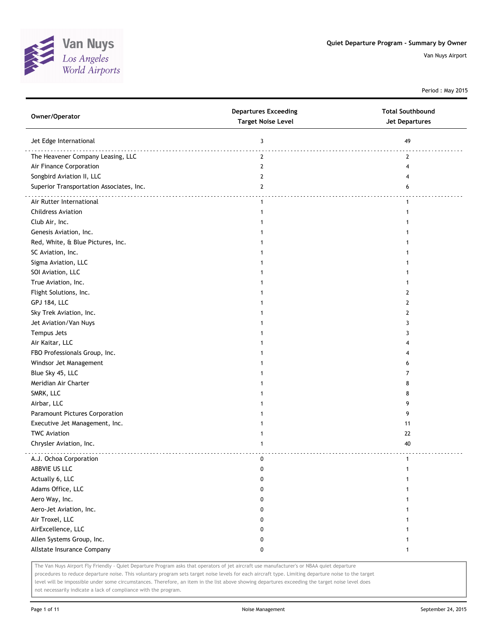

Period : May 2015

| Owner/Operator                           | <b>Departures Exceeding</b><br><b>Target Noise Level</b> | <b>Total Southbound</b><br>Jet Departures |
|------------------------------------------|----------------------------------------------------------|-------------------------------------------|
| Jet Edge International                   | 3                                                        | 49                                        |
| The Heavener Company Leasing, LLC        | $\mathbf{2}$                                             | .<br>2                                    |
| Air Finance Corporation                  | $\mathbf{2}$                                             | 4                                         |
| Songbird Aviation II, LLC                | 2                                                        |                                           |
| Superior Transportation Associates, Inc. | $\mathbf{2}$                                             | 6                                         |
|                                          |                                                          |                                           |
| Air Rutter International                 | $\mathbf{1}$                                             | 1                                         |
| <b>Childress Aviation</b>                | $\mathbf{1}$                                             | 1                                         |
| Club Air, Inc.                           |                                                          |                                           |
| Genesis Aviation, Inc.                   |                                                          |                                           |
| Red, White, & Blue Pictures, Inc.        |                                                          |                                           |
| SC Aviation, Inc.                        |                                                          |                                           |
| Sigma Aviation, LLC                      |                                                          |                                           |
| SOI Aviation, LLC                        |                                                          |                                           |
| True Aviation, Inc.                      |                                                          |                                           |
| Flight Solutions, Inc.                   |                                                          | 2                                         |
| <b>GPJ 184, LLC</b>                      |                                                          | 2                                         |
| Sky Trek Aviation, Inc.                  |                                                          | 2                                         |
| Jet Aviation/Van Nuys                    |                                                          | 3                                         |
| Tempus Jets                              |                                                          | 3                                         |
| Air Kaitar, LLC                          |                                                          | 4                                         |
| FBO Professionals Group, Inc.            |                                                          |                                           |
| Windsor Jet Management                   |                                                          | 6                                         |
| Blue Sky 45, LLC                         |                                                          | 7                                         |
| Meridian Air Charter                     |                                                          | 8                                         |
| SMRK, LLC                                |                                                          | 8                                         |
| Airbar, LLC                              |                                                          | 9                                         |
| Paramount Pictures Corporation           |                                                          | 9                                         |
| Executive Jet Management, Inc.           |                                                          | 11                                        |
| <b>TWC Aviation</b>                      |                                                          | 22                                        |
| Chrysler Aviation, Inc.                  | 1                                                        | 40                                        |
| A.J. Ochoa Corporation                   | 0                                                        | $\mathbf{1}$                              |
| ABBVIE US LLC                            | 0                                                        | 1                                         |
| Actually 6, LLC                          | 0                                                        | 1                                         |
| Adams Office, LLC                        | 0                                                        | 1                                         |
| Aero Way, Inc.                           | 0                                                        | 1                                         |
| Aero-Jet Aviation, Inc.                  | 0                                                        | 1                                         |
| Air Troxel, LLC                          | 0                                                        |                                           |
| AirExcellence, LLC                       | 0                                                        |                                           |
| Allen Systems Group, Inc.                | 0                                                        |                                           |
| Allstate Insurance Company               | 0                                                        | 1                                         |
|                                          |                                                          |                                           |

The Van Nuys Airport Fly Friendly - Quiet Departure Program asks that operators of jet aircraft use manufacturer's or NBAA quiet departure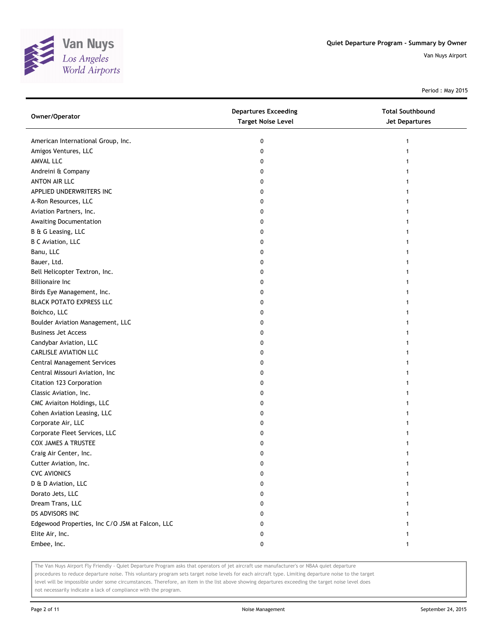

Period : May 2015

| Owner/Operator                                  | <b>Departures Exceeding</b><br><b>Target Noise Level</b> | <b>Total Southbound</b><br><b>Jet Departures</b> |
|-------------------------------------------------|----------------------------------------------------------|--------------------------------------------------|
| American International Group, Inc.              | 0                                                        | 1                                                |
| Amigos Ventures, LLC                            | 0                                                        |                                                  |
| AMVAL LLC                                       | 0                                                        |                                                  |
| Andreini & Company                              | 0                                                        |                                                  |
| ANTON AIR LLC                                   | 0                                                        |                                                  |
| APPLIED UNDERWRITERS INC                        | 0                                                        |                                                  |
| A-Ron Resources, LLC                            | 0                                                        |                                                  |
| Aviation Partners, Inc.                         | 0                                                        | 1                                                |
| Awaiting Documentation                          | 0                                                        |                                                  |
| B & G Leasing, LLC                              | 0                                                        |                                                  |
| <b>B C Aviation, LLC</b>                        | 0                                                        |                                                  |
| Banu, LLC                                       | 0                                                        |                                                  |
| Bauer, Ltd.                                     | 0                                                        |                                                  |
| Bell Helicopter Textron, Inc.                   | 0                                                        |                                                  |
| <b>Billionaire Inc</b>                          | 0                                                        |                                                  |
| Birds Eye Management, Inc.                      | 0                                                        |                                                  |
| <b>BLACK POTATO EXPRESS LLC</b>                 | 0                                                        |                                                  |
| Boichco, LLC                                    | 0                                                        | 1                                                |
| Boulder Aviation Management, LLC                | 0                                                        |                                                  |
| <b>Business Jet Access</b>                      | 0                                                        |                                                  |
| Candybar Aviation, LLC                          | 0                                                        |                                                  |
| <b>CARLISLE AVIATION LLC</b>                    | 0                                                        |                                                  |
| <b>Central Management Services</b>              | 0                                                        |                                                  |
| Central Missouri Aviation, Inc                  | 0                                                        |                                                  |
| Citation 123 Corporation                        | 0                                                        |                                                  |
| Classic Aviation, Inc.                          | 0                                                        |                                                  |
| CMC Aviaiton Holdings, LLC                      | 0                                                        |                                                  |
| Cohen Aviation Leasing, LLC                     | 0                                                        |                                                  |
| Corporate Air, LLC                              | 0                                                        |                                                  |
| Corporate Fleet Services, LLC                   | 0                                                        |                                                  |
| COX JAMES A TRUSTEE                             | 0                                                        |                                                  |
| Craig Air Center, Inc.                          | 0                                                        |                                                  |
| Cutter Aviation, Inc.                           | U                                                        |                                                  |
| <b>CVC AVIONICS</b>                             | 0                                                        |                                                  |
| D & D Aviation, LLC                             | 0                                                        |                                                  |
| Dorato Jets, LLC                                | 0                                                        |                                                  |
| Dream Trans, LLC                                | 0                                                        |                                                  |
| DS ADVISORS INC                                 | 0                                                        |                                                  |
| Edgewood Properties, Inc C/O JSM at Falcon, LLC | 0                                                        |                                                  |
| Elite Air, Inc.                                 | 0                                                        |                                                  |
| Embee, Inc.                                     | 0                                                        | 1                                                |

The Van Nuys Airport Fly Friendly - Quiet Departure Program asks that operators of jet aircraft use manufacturer's or NBAA quiet departure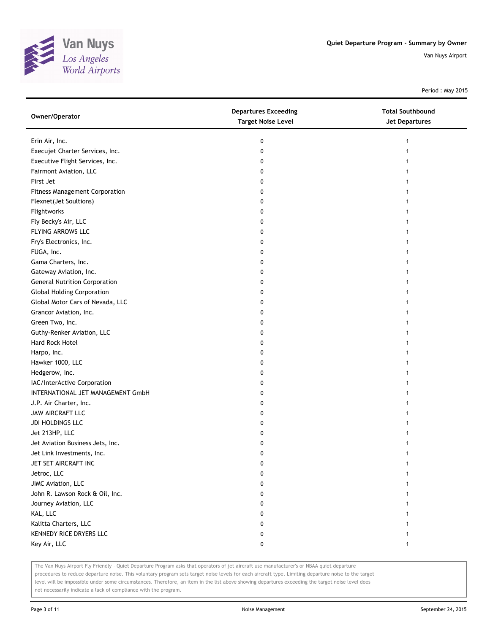

Period : May 2015

| Owner/Operator                        | <b>Departures Exceeding</b><br><b>Target Noise Level</b> | <b>Total Southbound</b><br><b>Jet Departures</b> |
|---------------------------------------|----------------------------------------------------------|--------------------------------------------------|
| Erin Air, Inc.                        | 0                                                        | 1                                                |
| Execujet Charter Services, Inc.       | 0                                                        |                                                  |
| Executive Flight Services, Inc.       | 0                                                        |                                                  |
| Fairmont Aviation, LLC                | 0                                                        |                                                  |
| First Jet                             | 0                                                        |                                                  |
| <b>Fitness Management Corporation</b> | 0                                                        |                                                  |
| Flexnet(Jet Soultions)                | 0                                                        |                                                  |
| Flightworks                           | 0                                                        |                                                  |
| Fly Becky's Air, LLC                  | 0                                                        |                                                  |
| FLYING ARROWS LLC                     | 0                                                        |                                                  |
| Fry's Electronics, Inc.               | 0                                                        |                                                  |
| FUGA, Inc.                            | 0                                                        |                                                  |
| Gama Charters, Inc.                   | 0                                                        |                                                  |
| Gateway Aviation, Inc.                | 0                                                        |                                                  |
| <b>General Nutrition Corporation</b>  | 0                                                        |                                                  |
| <b>Global Holding Corporation</b>     | 0                                                        |                                                  |
| Global Motor Cars of Nevada, LLC      | 0                                                        | 1                                                |
| Grancor Aviation, Inc.                | 0                                                        |                                                  |
| Green Two, Inc.                       | 0                                                        |                                                  |
| Guthy-Renker Aviation, LLC            | 0                                                        |                                                  |
| Hard Rock Hotel                       | 0                                                        |                                                  |
| Harpo, Inc.                           | 0                                                        |                                                  |
| Hawker 1000, LLC                      | 0                                                        |                                                  |
| Hedgerow, Inc.                        | 0                                                        |                                                  |
| IAC/InterActive Corporation           | 0                                                        |                                                  |
| INTERNATIONAL JET MANAGEMENT GmbH     | 0                                                        |                                                  |
| J.P. Air Charter, Inc.                | 0                                                        |                                                  |
| JAW AIRCRAFT LLC                      | 0                                                        |                                                  |
| JDI HOLDINGS LLC                      | 0                                                        |                                                  |
| Jet 213HP, LLC                        | 0                                                        |                                                  |
| Jet Aviation Business Jets, Inc.      | 0                                                        |                                                  |
| Jet Link Investments, Inc.            | 0                                                        |                                                  |
| JET SET AIRCRAFT INC                  | 0                                                        |                                                  |
| Jetroc, LLC                           | 0                                                        |                                                  |
| JIMC Aviation, LLC                    | 0                                                        |                                                  |
| John R. Lawson Rock & Oil, Inc.       | 0                                                        |                                                  |
| Journey Aviation, LLC                 | 0                                                        |                                                  |
| KAL, LLC                              | 0                                                        |                                                  |
| Kalitta Charters, LLC                 | 0                                                        |                                                  |
| KENNEDY RICE DRYERS LLC               | 0                                                        |                                                  |
| Key Air, LLC                          | 0                                                        | 1                                                |

The Van Nuys Airport Fly Friendly - Quiet Departure Program asks that operators of jet aircraft use manufacturer's or NBAA quiet departure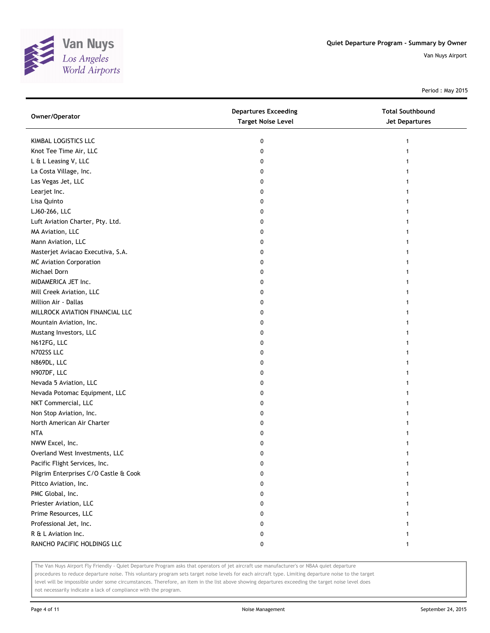

Period : May 2015

| Owner/Operator                        | <b>Departures Exceeding</b><br><b>Target Noise Level</b> | <b>Total Southbound</b><br>Jet Departures |
|---------------------------------------|----------------------------------------------------------|-------------------------------------------|
| KIMBAL LOGISTICS LLC                  | 0                                                        | 1                                         |
| Knot Tee Time Air, LLC                | 0                                                        |                                           |
| L & L Leasing V, LLC                  | 0                                                        |                                           |
| La Costa Village, Inc.                | 0                                                        |                                           |
| Las Vegas Jet, LLC                    | 0                                                        |                                           |
| Learjet Inc.                          | 0                                                        |                                           |
| Lisa Quinto                           | 0                                                        | 1                                         |
| LJ60-266, LLC                         | 0                                                        |                                           |
| Luft Aviation Charter, Pty. Ltd.      | 0                                                        |                                           |
| MA Aviation, LLC                      | 0                                                        |                                           |
| Mann Aviation, LLC                    | 0                                                        |                                           |
| Masterjet Aviacao Executiva, S.A.     | 0                                                        |                                           |
| <b>MC Aviation Corporation</b>        | 0                                                        |                                           |
| Michael Dorn                          | 0                                                        |                                           |
| MIDAMERICA JET Inc.                   | 0                                                        |                                           |
| Mill Creek Aviation, LLC              | 0                                                        |                                           |
| Million Air - Dallas                  | 0                                                        |                                           |
| MILLROCK AVIATION FINANCIAL LLC       | 0                                                        |                                           |
| Mountain Aviation, Inc.               | 0                                                        |                                           |
| Mustang Investors, LLC                | 0                                                        |                                           |
| N612FG, LLC                           | 0                                                        |                                           |
| N702SS LLC                            | 0                                                        |                                           |
| N869DL, LLC                           | 0                                                        |                                           |
| N907DF, LLC                           | 0                                                        |                                           |
| Nevada 5 Aviation, LLC                | 0                                                        |                                           |
| Nevada Potomac Equipment, LLC         | 0                                                        |                                           |
| NKT Commercial, LLC                   | 0                                                        |                                           |
| Non Stop Aviation, Inc.               | 0                                                        |                                           |
| North American Air Charter            | 0                                                        |                                           |
| <b>NTA</b>                            | 0                                                        |                                           |
| NWW Excel, Inc.                       | 0                                                        |                                           |
| Overland West Investments, LLC        | 0                                                        |                                           |
| Pacific Flight Services, Inc.         | 0                                                        |                                           |
| Pilgrim Enterprises C/O Castle & Cook | 0                                                        |                                           |
| Pittco Aviation, Inc.                 | 0                                                        |                                           |
| PMC Global, Inc.                      | 0                                                        |                                           |
| Priester Aviation, LLC                | 0                                                        |                                           |
| Prime Resources, LLC                  | 0                                                        |                                           |
| Professional Jet, Inc.                | 0                                                        |                                           |
| R & L Aviation Inc.                   | 0                                                        |                                           |
| RANCHO PACIFIC HOLDINGS LLC           | 0                                                        | $\mathbf{1}$                              |

The Van Nuys Airport Fly Friendly - Quiet Departure Program asks that operators of jet aircraft use manufacturer's or NBAA quiet departure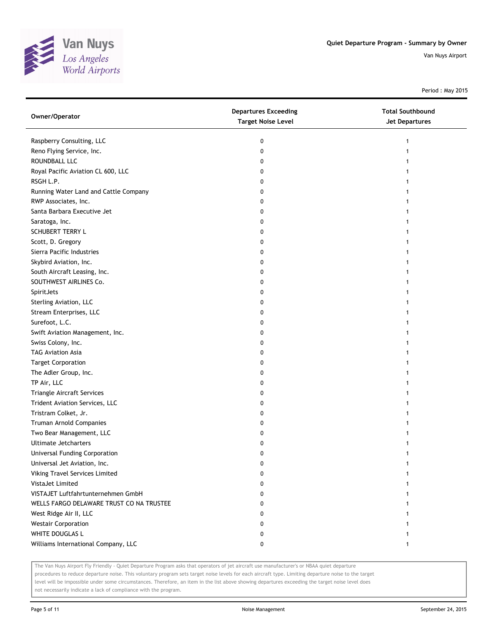

Period : May 2015

| Owner/Operator                           | <b>Departures Exceeding</b><br><b>Target Noise Level</b> | <b>Total Southbound</b><br><b>Jet Departures</b> |
|------------------------------------------|----------------------------------------------------------|--------------------------------------------------|
| Raspberry Consulting, LLC                | 0                                                        |                                                  |
| Reno Flying Service, Inc.                | 0                                                        |                                                  |
| ROUNDBALL LLC                            | 0                                                        |                                                  |
| Royal Pacific Aviation CL 600, LLC       | 0                                                        |                                                  |
| RSGH L.P.                                | 0                                                        |                                                  |
| Running Water Land and Cattle Company    | 0                                                        |                                                  |
| RWP Associates, Inc.                     | 0                                                        |                                                  |
| Santa Barbara Executive Jet              | 0                                                        |                                                  |
| Saratoga, Inc.                           | 0                                                        |                                                  |
| SCHUBERT TERRY L                         | 0                                                        |                                                  |
| Scott, D. Gregory                        | 0                                                        |                                                  |
| Sierra Pacific Industries                | 0                                                        |                                                  |
| Skybird Aviation, Inc.                   | 0                                                        |                                                  |
| South Aircraft Leasing, Inc.             | 0                                                        |                                                  |
| SOUTHWEST AIRLINES Co.                   | 0                                                        |                                                  |
| SpiritJets                               | 0                                                        |                                                  |
| Sterling Aviation, LLC                   | 0                                                        |                                                  |
| Stream Enterprises, LLC                  | 0                                                        |                                                  |
| Surefoot, L.C.                           | 0                                                        |                                                  |
| Swift Aviation Management, Inc.          | 0                                                        |                                                  |
| Swiss Colony, Inc.                       | 0                                                        |                                                  |
| <b>TAG Aviation Asia</b>                 | 0                                                        |                                                  |
| <b>Target Corporation</b>                | 0                                                        |                                                  |
| The Adler Group, Inc.                    | 0                                                        |                                                  |
| TP Air, LLC                              | 0                                                        |                                                  |
| Triangle Aircraft Services               | 0                                                        |                                                  |
| Trident Aviation Services, LLC           | 0                                                        |                                                  |
| Tristram Colket, Jr.                     | 0                                                        |                                                  |
| Truman Arnold Companies                  | 0                                                        |                                                  |
| Two Bear Management, LLC                 | 0                                                        |                                                  |
| <b>Ultimate Jetcharters</b>              | 0                                                        |                                                  |
| Universal Funding Corporation            | 0                                                        |                                                  |
| Universal Jet Aviation, Inc.             | U                                                        |                                                  |
| Viking Travel Services Limited           | 0                                                        |                                                  |
| <b>VistaJet Limited</b>                  | 0                                                        |                                                  |
| VISTAJET Luftfahrtunternehmen GmbH       | 0                                                        |                                                  |
| WELLS FARGO DELAWARE TRUST CO NA TRUSTEE | 0                                                        |                                                  |
| West Ridge Air II, LLC                   | 0                                                        |                                                  |
| <b>Westair Corporation</b>               | 0                                                        |                                                  |
| WHITE DOUGLAS L                          | 0                                                        |                                                  |
| Williams International Company, LLC      | 0                                                        | 1                                                |

The Van Nuys Airport Fly Friendly - Quiet Departure Program asks that operators of jet aircraft use manufacturer's or NBAA quiet departure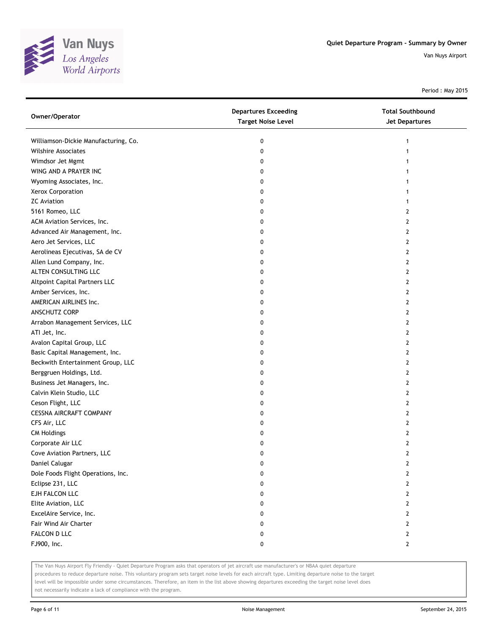

Period : May 2015

| Owner/Operator                       | <b>Departures Exceeding</b><br><b>Target Noise Level</b> | <b>Total Southbound</b><br><b>Jet Departures</b> |
|--------------------------------------|----------------------------------------------------------|--------------------------------------------------|
| Williamson-Dickie Manufacturing, Co. | 0                                                        | 1                                                |
| Wilshire Associates                  | 0                                                        |                                                  |
| Wimdsor Jet Mgmt                     | 0                                                        |                                                  |
| WING AND A PRAYER INC                | 0                                                        |                                                  |
| Wyoming Associates, Inc.             | 0                                                        |                                                  |
| Xerox Corporation                    | 0                                                        |                                                  |
| <b>ZC</b> Aviation                   | 0                                                        |                                                  |
| 5161 Romeo, LLC                      | 0                                                        | 2                                                |
| ACM Aviation Services, Inc.          | 0                                                        | 2                                                |
| Advanced Air Management, Inc.        | 0                                                        | 2                                                |
| Aero Jet Services, LLC               | 0                                                        | 2                                                |
| Aerolineas Ejecutivas, SA de CV      | 0                                                        | 2                                                |
| Allen Lund Company, Inc.             | 0                                                        | 2                                                |
| ALTEN CONSULTING LLC                 | 0                                                        | 2                                                |
| Altpoint Capital Partners LLC        | 0                                                        | 2                                                |
| Amber Services, Inc.                 | 0                                                        | 2                                                |
| AMERICAN AIRLINES Inc.               | 0                                                        | 2                                                |
| ANSCHUTZ CORP                        | 0                                                        | 2                                                |
| Arrabon Management Services, LLC     | 0                                                        | 2                                                |
| ATI Jet, Inc.                        | 0                                                        | 2                                                |
| Avalon Capital Group, LLC            | 0                                                        | 2                                                |
| Basic Capital Management, Inc.       | 0                                                        | 2                                                |
| Beckwith Entertainment Group, LLC    | 0                                                        | 2                                                |
| Berggruen Holdings, Ltd.             | 0                                                        | 2                                                |
| Business Jet Managers, Inc.          | 0                                                        | 2                                                |
| Calvin Klein Studio, LLC             | 0                                                        | 2                                                |
| Ceson Flight, LLC                    | 0                                                        | $\overline{2}$                                   |
| CESSNA AIRCRAFT COMPANY              | 0                                                        | 2                                                |
| CFS Air, LLC                         | 0                                                        | 2                                                |
| <b>CM Holdings</b>                   | 0                                                        | 2                                                |
| Corporate Air LLC                    | 0                                                        | 2                                                |
| Cove Aviation Partners, LLC          | 0                                                        | 2                                                |
| Daniel Calugar                       |                                                          | L                                                |
| Dole Foods Flight Operations, Inc.   | 0                                                        | 2                                                |
| Eclipse 231, LLC                     | 0                                                        | 2                                                |
| EJH FALCON LLC                       | 0                                                        | 2                                                |
| Elite Aviation, LLC                  | 0                                                        | 2                                                |
| ExcelAire Service, Inc.              | 0                                                        | 2                                                |
| Fair Wind Air Charter                | 0                                                        | 2                                                |
| FALCON D LLC                         | 0                                                        | 2                                                |
| FJ900, Inc.                          | 0                                                        | 2                                                |

The Van Nuys Airport Fly Friendly - Quiet Departure Program asks that operators of jet aircraft use manufacturer's or NBAA quiet departure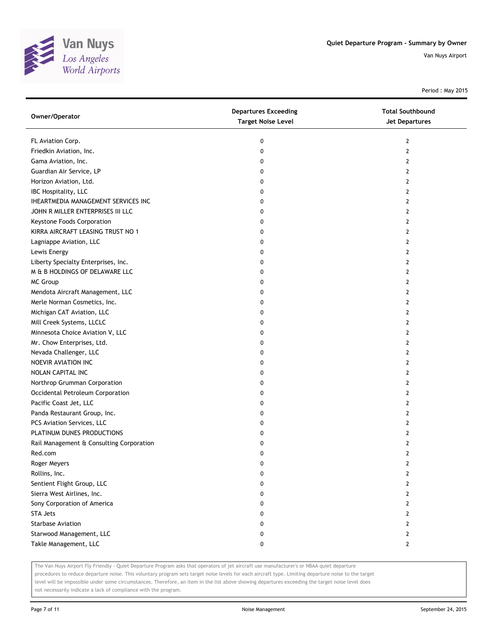

Period : May 2015

| Owner/Operator                           | <b>Departures Exceeding</b><br><b>Target Noise Level</b> | <b>Total Southbound</b><br><b>Jet Departures</b> |
|------------------------------------------|----------------------------------------------------------|--------------------------------------------------|
| FL Aviation Corp.                        | 0                                                        | 2                                                |
| Friedkin Aviation, Inc.                  | 0                                                        | 2                                                |
| Gama Aviation, Inc.                      | 0                                                        | 2                                                |
| Guardian Air Service, LP                 | 0                                                        | 2                                                |
| Horizon Aviation, Ltd.                   | 0                                                        | 2                                                |
| IBC Hospitality, LLC                     | 0                                                        | 2                                                |
| IHEARTMEDIA MANAGEMENT SERVICES INC      | 0                                                        | 2                                                |
| JOHN R MILLER ENTERPRISES III LLC        | 0                                                        | 2                                                |
| Keystone Foods Corporation               | 0                                                        | 2                                                |
| KIRRA AIRCRAFT LEASING TRUST NO 1        | 0                                                        | 2                                                |
| Lagniappe Aviation, LLC                  | 0                                                        | 2                                                |
| Lewis Energy                             | 0                                                        | 2                                                |
| Liberty Specialty Enterprises, Inc.      | 0                                                        | 2                                                |
| M & B HOLDINGS OF DELAWARE LLC           | 0                                                        | 2                                                |
| <b>MC Group</b>                          | 0                                                        | 2                                                |
| Mendota Aircraft Management, LLC         | 0                                                        | 2                                                |
| Merle Norman Cosmetics, Inc.             | 0                                                        | 2                                                |
| Michigan CAT Aviation, LLC               | 0                                                        | 2                                                |
| Mill Creek Systems, LLCLC                | 0                                                        | 2                                                |
| Minnesota Choice Aviation V, LLC         | 0                                                        | 2                                                |
| Mr. Chow Enterprises, Ltd.               | 0                                                        | 2                                                |
| Nevada Challenger, LLC                   | 0                                                        | 2                                                |
| NOEVIR AVIATION INC                      | 0                                                        | 2                                                |
| NOLAN CAPITAL INC                        | 0                                                        | 2                                                |
| Northrop Grumman Corporation             | 0                                                        | 2                                                |
| Occidental Petroleum Corporation         | 0                                                        | 2                                                |
| Pacific Coast Jet, LLC                   | 0                                                        | 2                                                |
| Panda Restaurant Group, Inc.             | 0                                                        | 2                                                |
| PCS Aviation Services, LLC               | 0                                                        | 2                                                |
| PLATINUM DUNES PRODUCTIONS               | 0                                                        | 2                                                |
| Rail Management & Consulting Corporation | 0                                                        | 2                                                |
| Red.com                                  | 0                                                        | 2                                                |
| Roger Meyers                             | o                                                        | $\mathbf{z}$                                     |
| Rollins, Inc.                            | 0                                                        | 2                                                |
| Sentient Flight Group, LLC               | 0                                                        | 2                                                |
| Sierra West Airlines, Inc.               | 0                                                        | 2                                                |
| Sony Corporation of America              | 0                                                        | 2                                                |
| <b>STA Jets</b>                          | 0                                                        | 2                                                |
| <b>Starbase Aviation</b>                 | 0                                                        | 2                                                |
| Starwood Management, LLC                 | 0                                                        | 2                                                |
| Takle Management, LLC                    | 0                                                        | 2                                                |

The Van Nuys Airport Fly Friendly - Quiet Departure Program asks that operators of jet aircraft use manufacturer's or NBAA quiet departure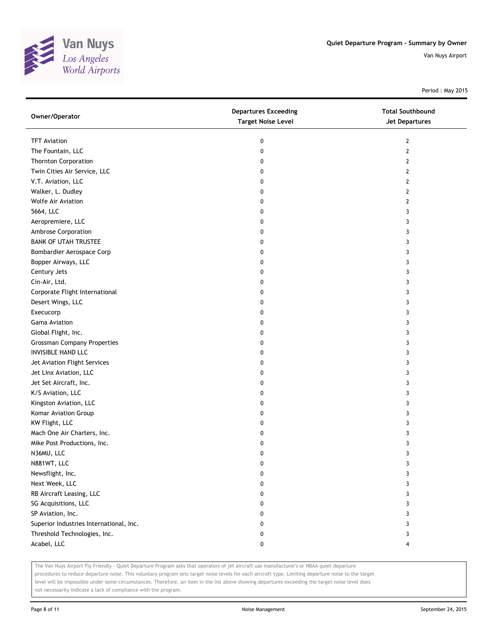

Period : May 2015

| Owner/Operator                          | <b>Departures Exceeding</b><br><b>Target Noise Level</b> | <b>Total Southbound</b><br><b>Jet Departures</b> |
|-----------------------------------------|----------------------------------------------------------|--------------------------------------------------|
| <b>TFT Aviation</b>                     | 0                                                        | $\overline{2}$                                   |
| The Fountain, LLC                       | 0                                                        | $\overline{2}$                                   |
| <b>Thornton Corporation</b>             | 0                                                        | 2                                                |
| Twin Cities Air Service, LLC            | 0                                                        | 2                                                |
| V.T. Aviation, LLC                      | 0                                                        | $\overline{2}$                                   |
| Walker, L. Dudley                       | 0                                                        | 2                                                |
| <b>Wolfe Air Aviation</b>               | 0                                                        | 2                                                |
| 5664, LLC                               | 0                                                        | 3                                                |
| Aeropremiere, LLC                       | 0                                                        | 3                                                |
| Ambrose Corporation                     | 0                                                        | 3                                                |
| <b>BANK OF UTAH TRUSTEE</b>             | 0                                                        | 3                                                |
| Bombardier Aerospace Corp               | 0                                                        | 3                                                |
| Bopper Airways, LLC                     | 0                                                        | 3                                                |
| Century Jets                            | 0                                                        | 3                                                |
| Cin-Air, Ltd.                           | 0                                                        | 3                                                |
| Corporate Flight International          | 0                                                        | 3                                                |
| Desert Wings, LLC                       | 0                                                        | 3                                                |
| Execucorp                               | 0                                                        | 3                                                |
| <b>Gama Aviation</b>                    | 0                                                        | 3                                                |
| Global Flight, Inc.                     | 0                                                        | 3                                                |
| <b>Grossman Company Properties</b>      | 0                                                        | 3                                                |
| <b>INVISIBLE HAND LLC</b>               | 0                                                        | 3                                                |
| Jet Aviation Flight Services            | 0                                                        | 3                                                |
| Jet Linx Aviation, LLC                  | 0                                                        | 3                                                |
| Jet Set Aircraft, Inc.                  | 0                                                        | 3                                                |
| K/S Aviation, LLC                       | 0                                                        | 3                                                |
| Kingston Aviation, LLC                  | 0                                                        | 3                                                |
| Komar Aviation Group                    | 0                                                        | 3                                                |
| KW Flight, LLC                          | 0                                                        | 3                                                |
| Mach One Air Charters, Inc.             | 0                                                        | 3                                                |
| Mike Post Productions, Inc.             | 0                                                        | 3                                                |
| N36MU, LLC                              | 0                                                        | 3                                                |
| N881WT, LLC                             | 0                                                        | 3                                                |
| Newsflight, Inc.                        | 0                                                        | 3                                                |
| Next Week, LLC                          | 0                                                        | 3                                                |
| RB Aircraft Leasing, LLC                | 0                                                        | 3                                                |
| SG Acquisitions, LLC                    | 0                                                        | 3                                                |
| SP Aviation, Inc.                       | 0                                                        | 3                                                |
| Superior Industries International, Inc. | 0                                                        | 3                                                |
| Threshold Technologies, Inc.            | 0                                                        | 3                                                |
| Acabel, LLC                             | 0                                                        | 4                                                |

The Van Nuys Airport Fly Friendly - Quiet Departure Program asks that operators of jet aircraft use manufacturer's or NBAA quiet departure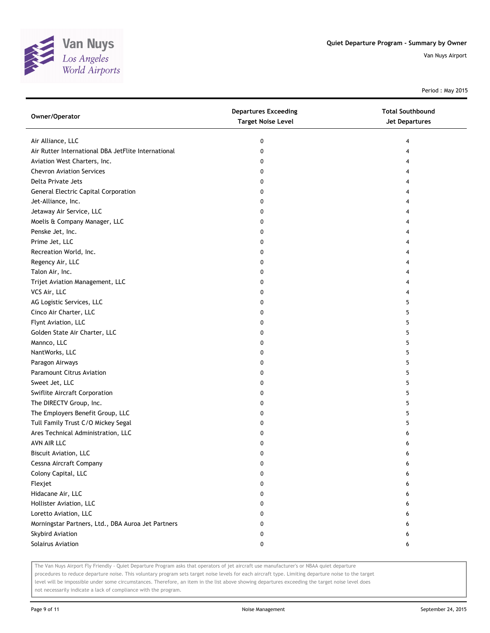

Period : May 2015

| Owner/Operator                                      | <b>Departures Exceeding</b><br><b>Target Noise Level</b> | <b>Total Southbound</b><br>Jet Departures |
|-----------------------------------------------------|----------------------------------------------------------|-------------------------------------------|
| Air Alliance, LLC                                   | 0                                                        | 4                                         |
| Air Rutter International DBA JetFlite International | 0                                                        | 4                                         |
| Aviation West Charters, Inc.                        | 0                                                        | 4                                         |
| <b>Chevron Aviation Services</b>                    | 0                                                        | 4                                         |
| Delta Private Jets                                  | 0                                                        | 4                                         |
| General Electric Capital Corporation                | 0                                                        | 4                                         |
| Jet-Alliance, Inc.                                  | 0                                                        | 4                                         |
| Jetaway Air Service, LLC                            | 0                                                        | 4                                         |
| Moelis & Company Manager, LLC                       | 0                                                        | 4                                         |
| Penske Jet, Inc.                                    | 0                                                        | 4                                         |
| Prime Jet, LLC                                      | 0                                                        | 4                                         |
| Recreation World, Inc.                              | 0                                                        | 4                                         |
| Regency Air, LLC                                    | 0                                                        | 4                                         |
| Talon Air, Inc.                                     | 0                                                        | 4                                         |
| Trijet Aviation Management, LLC                     | 0                                                        | 4                                         |
| VCS Air, LLC                                        | 0                                                        | 4                                         |
| AG Logistic Services, LLC                           | 0                                                        | 5                                         |
| Cinco Air Charter, LLC                              | 0                                                        | 5                                         |
| Flynt Aviation, LLC                                 | 0                                                        | 5                                         |
| Golden State Air Charter, LLC                       | 0                                                        | 5                                         |
| Mannco, LLC                                         | 0                                                        | 5                                         |
| NantWorks, LLC                                      | 0                                                        | 5                                         |
| Paragon Airways                                     | 0                                                        | 5                                         |
| <b>Paramount Citrus Aviation</b>                    | 0                                                        | 5                                         |
| Sweet Jet, LLC                                      | 0                                                        | 5                                         |
| Swiflite Aircraft Corporation                       | 0                                                        | 5                                         |
| The DIRECTV Group, Inc.                             | 0                                                        | 5                                         |
| The Employers Benefit Group, LLC                    | 0                                                        | 5                                         |
| Tull Family Trust C/O Mickey Segal                  | 0                                                        | 5                                         |
| Ares Technical Administration, LLC                  | 0                                                        | 6                                         |
| AVN AIR LLC                                         | 0                                                        | 6                                         |
| <b>Biscuit Aviation, LLC</b>                        | 0                                                        | 6                                         |
| Cessna Aircraft Company                             | U                                                        | 6                                         |
| Colony Capital, LLC                                 | 0                                                        | 6                                         |
| Flexjet                                             | 0                                                        | 6                                         |
| Hidacane Air, LLC                                   | 0                                                        | 6                                         |
| Hollister Aviation, LLC                             | 0                                                        | 6                                         |
| Loretto Aviation, LLC                               | 0                                                        | 6                                         |
| Morningstar Partners, Ltd., DBA Auroa Jet Partners  | 0                                                        | 6                                         |
| Skybird Aviation                                    | 0                                                        | 6                                         |
| Solairus Aviation                                   | 0                                                        | 6                                         |

The Van Nuys Airport Fly Friendly - Quiet Departure Program asks that operators of jet aircraft use manufacturer's or NBAA quiet departure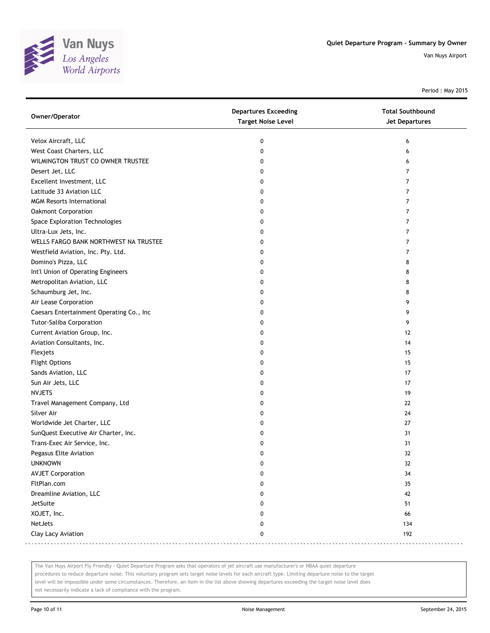

Period : May 2015

| Owner/Operator                           | <b>Departures Exceeding</b><br><b>Target Noise Level</b> | <b>Total Southbound</b><br><b>Jet Departures</b> |
|------------------------------------------|----------------------------------------------------------|--------------------------------------------------|
| Velox Aircraft, LLC                      | 0                                                        | 6                                                |
| West Coast Charters, LLC                 | 0                                                        | 6                                                |
| WILMINGTON TRUST CO OWNER TRUSTEE        | 0                                                        | 6                                                |
| Desert Jet, LLC                          | 0                                                        | 7                                                |
| Excellent Investment, LLC                | 0                                                        | 7                                                |
| Latitude 33 Aviation LLC                 | $\mathbf{0}$                                             | 7                                                |
| <b>MGM Resorts International</b>         | 0                                                        | 7                                                |
| Oakmont Corporation                      | 0                                                        | 7                                                |
| Space Exploration Technologies           | 0                                                        | 7                                                |
| Ultra-Lux Jets, Inc.                     | 0                                                        | 7                                                |
| WELLS FARGO BANK NORTHWEST NA TRUSTEE    | 0                                                        | 7                                                |
| Westfield Aviation, Inc. Pty. Ltd.       | 0                                                        | 7                                                |
| Domino's Pizza, LLC                      | 0                                                        | 8                                                |
| Int'l Union of Operating Engineers       | 0                                                        | 8                                                |
| Metropolitan Aviation, LLC               | 0                                                        | 8                                                |
| Schaumburg Jet, Inc.                     | 0                                                        | 8                                                |
| Air Lease Corporation                    | 0                                                        | 9                                                |
| Caesars Entertainment Operating Co., Inc | 0                                                        | 9                                                |
| Tutor-Saliba Corporation                 | 0                                                        | 9                                                |
| Current Aviation Group, Inc.             | 0                                                        | 12                                               |
| Aviation Consultants, Inc.               | 0                                                        | 14                                               |
| Flexjets                                 | 0                                                        | 15                                               |
| <b>Flight Options</b>                    | 0                                                        | 15                                               |
| Sands Aviation, LLC                      | 0                                                        | 17                                               |
| Sun Air Jets, LLC                        | 0                                                        | 17                                               |
| <b>NVJETS</b>                            | $\mathbf{0}$                                             | 19                                               |
| Travel Management Company, Ltd           | 0                                                        | 22                                               |
| Silver Air                               | 0                                                        | 24                                               |
| Worldwide Jet Charter, LLC               | 0                                                        | 27                                               |
| SunQuest Executive Air Charter, Inc.     | 0                                                        | 31                                               |
| Trans-Exec Air Service, Inc.             | 0                                                        | 31                                               |
| Pegasus Elite Aviation                   | 0                                                        | 32                                               |
| <b>UNKNOWN</b>                           | 0                                                        | 32                                               |
| <b>AVJET Corporation</b>                 | 0                                                        | 34                                               |
| FltPlan.com                              | 0                                                        | 35                                               |
| Dreamline Aviation, LLC                  | 0                                                        | 42                                               |
| JetSuite                                 | 0                                                        | 51                                               |
| XOJET, Inc.                              | 0                                                        | 66                                               |
| NetJets                                  | 0                                                        | 134                                              |
| Clay Lacy Aviation                       | 0                                                        | 192                                              |

The Van Nuys Airport Fly Friendly - Quiet Departure Program asks that operators of jet aircraft use manufacturer's or NBAA quiet departure